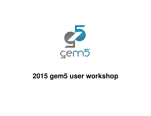

#### **2015 gem5 user workshop**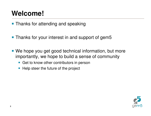### **Welcome!**

**Thanks for attending and speaking** 

- Thanks for your interest in and support of gem5
- We hope you get good technical information, but more importantly, we hope to build a sense of community
	- Get to know other contributors in person
	- $\blacksquare$  Help steer the future of the project

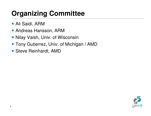### **Organizing Committee**

- Ali Saidi, ARM
- Andreas Hansson, ARM
- Nilay Vaish, Univ. of Wisconsin
- Tony Gutierrez, Univ. of Michigan / AMD
- Steve Reinhardt, AMD

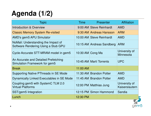# **Agenda (1/2)**

| <b>Topic</b>                                                               | Time             | Presenter                 | <b>Affiliation</b>              |
|----------------------------------------------------------------------------|------------------|---------------------------|---------------------------------|
| Introduction & Overview                                                    |                  | 9:00 AM Steve Reinhardt   | <b>AMD</b>                      |
| <b>Classic Memory System Re-visited</b>                                    |                  | 9:30 AM Andreas Hansson   | <b>ARM</b>                      |
| AMD's gem5 APU Simulator                                                   |                  | 10:00 AM Steve Reinhardt  | <b>AMD</b>                      |
| NoMali: Understanding the Impact of<br>Software Rendering Using a Stub GPU |                  | 10:15 AM Andreas Sandberg | <b>ARM</b>                      |
| Cycle-Accurate STT-MRAM model in gem5                                      | 10:30 AM Cong Ma |                           | University of<br>Minnesota      |
| An Accurate and Detailed Prefetching<br>Simulation Framework for gem5      |                  | 10:45 AM Martí Torrents   | <b>UPC</b>                      |
| <b>Break</b>                                                               | 11:00 AM         |                           |                                 |
| Supporting Native PThreads in SE Mode                                      |                  | 11:30 AM Brandon Potter   | <b>AMD</b>                      |
| Dynamically Linked Executables in SE Mode                                  |                  | 11:45 AM Brandon Potter   | <b>AMD</b>                      |
| Coupling gem5 with SystemC TLM 2.0<br><b>Virtual Platforms</b>             |                  | 12:00 PM Matthias Jung    | University of<br>Kaiserslautern |
| SST/gem5 Integration                                                       |                  | 12:15 PM Simon Hammond    | Sandia                          |
| Lunch                                                                      | 12:30 PM         |                           |                                 |

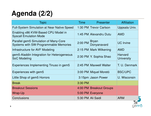# **Agenda (2/2)**

| <b>Topic</b>                                                                   | Time              | Presenter                   | <b>Affiliation</b>                  |
|--------------------------------------------------------------------------------|-------------------|-----------------------------|-------------------------------------|
| <b>Full-System Simulation at Near Native Speed</b>                             |                   | 1:30 PM Trevor Carlson      | Uppsala Univ.                       |
| Enabling x86 KVM-Based CPU Model in<br><b>Syscall Emulation Mode</b>           |                   | 1:45 PM Alexandru Dutu      | <b>AMD</b>                          |
| Parallel gem5 Simulation of Many-Core<br>Systems with SW-Programmable Memories | 2:00 PM           | <b>Bryan</b><br>Donyanavard | <b>UC</b> Irvine                    |
| Infrastructure for AVF Modeling                                                |                   | 2:15 PM Mark Wilkening      | <b>AMD</b>                          |
| gem5-Aladdin Integration for Heterogeneous<br><b>SoC Modeling</b>              |                   | 2:30 PM Y. Sophia Shao      | <b>Harvard</b><br><b>University</b> |
| Experiences Implementing Tinuso in gem5                                        |                   | 2:45 PM Maxwell Walter      | T. U. Denmark                       |
| Experiences with gem5                                                          |                   | 3:00 PM Miquel Moretó       | <b>BSC/UPC</b>                      |
| Little Shop of gem5 Horrors                                                    |                   | 3:15pm Jason Power          | U. Wisconsin                        |
| <b>Break</b>                                                                   | 3:30 PM           |                             |                                     |
| <b>Breakout Sessions</b>                                                       |                   | 4:00 PM Breakout Groups     |                                     |
| Wrap-Up                                                                        |                   | 5:00 PM Everyone            |                                     |
| <b>Conclusions</b>                                                             | 5:30 PM Ali Saidi |                             | <b>ARM</b>                          |

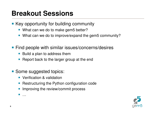#### **Breakout Sessions**

- Key opportunity for building community
	- What can we do to make gem5 better?
	- What can we do to improve/expand the gem5 community?
- Find people with similar issues/concerns/desires
	- Build a plan to address them
	- **Report back to the larger group at the end**
- **Some suggested topics:** 
	- **•** Verification & validation
	- **Service Service** Restructuring the Python configuration code
	- **Improving the review/commit process**

**I** …

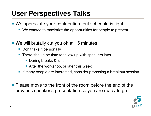#### **User Perspectives Talks**

- We appreciate your contribution, but schedule is tight
	- We wanted to maximize the opportunities for people to present
- We will brutally cut you off at 15 minutes
	- Don't take it personally
	- There should be time to follow up with speakers later
		- **During breaks & lunch**
		- After the workshop, or later this week
	- **If many people are interested, consider proposing a breakout session**
- Please move to the front of the room before the end of the previous speaker's presentation so you are ready to go

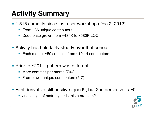### **Activity Summary**

■ 1,515 commits since last user workshop (Dec 2, 2012)

- From ~86 unique contributors
- **Service Service** Code base grown from ~430K to ~580K LOC
- **Activity has held fairly steady over that period** 
	- Each month,  $\sim$ 50 commits from  $\sim$ 10-14 contributors
- Prior to  $\sim$  2011, pattern was different
	- More commits per month (70+)
	- **From fewer unique contributors (5-7)**
- First derivative still positive (good!), but 2nd derivative is  $\sim$ 0
	- **Just a sign of maturity, or is this a problem?**